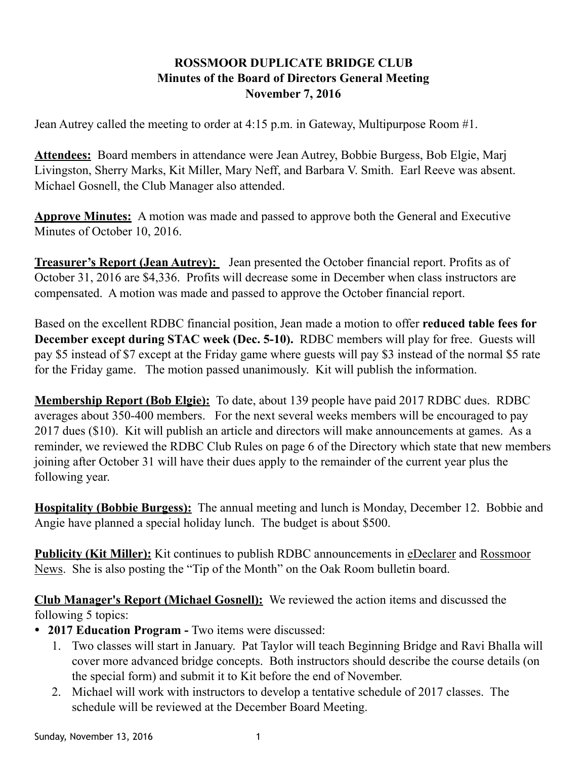## **ROSSMOOR DUPLICATE BRIDGE CLUB Minutes of the Board of Directors General Meeting November 7, 2016**

Jean Autrey called the meeting to order at 4:15 p.m. in Gateway, Multipurpose Room #1.

**Attendees:** Board members in attendance were Jean Autrey, Bobbie Burgess, Bob Elgie, Marj Livingston, Sherry Marks, Kit Miller, Mary Neff, and Barbara V. Smith. Earl Reeve was absent. Michael Gosnell, the Club Manager also attended.

**Approve Minutes:** A motion was made and passed to approve both the General and Executive Minutes of October 10, 2016.

**Treasurer's Report (Jean Autrey):** Jean presented the October financial report. Profits as of October 31, 2016 are \$4,336. Profits will decrease some in December when class instructors are compensated. A motion was made and passed to approve the October financial report.

Based on the excellent RDBC financial position, Jean made a motion to offer **reduced table fees for December except during STAC week (Dec. 5-10).** RDBC members will play for free. Guests will pay \$5 instead of \$7 except at the Friday game where guests will pay \$3 instead of the normal \$5 rate for the Friday game. The motion passed unanimously. Kit will publish the information.

**Membership Report (Bob Elgie):** To date, about 139 people have paid 2017 RDBC dues. RDBC averages about 350-400 members. For the next several weeks members will be encouraged to pay 2017 dues (\$10). Kit will publish an article and directors will make announcements at games. As a reminder, we reviewed the RDBC Club Rules on page 6 of the Directory which state that new members joining after October 31 will have their dues apply to the remainder of the current year plus the following year.

**Hospitality (Bobbie Burgess):** The annual meeting and lunch is Monday, December 12. Bobbie and Angie have planned a special holiday lunch. The budget is about \$500.

**Publicity (Kit Miller):** Kit continues to publish RDBC announcements in eDeclarer and Rossmoor News. She is also posting the "Tip of the Month" on the Oak Room bulletin board.

**Club Manager's Report (Michael Gosnell):** We reviewed the action items and discussed the following 5 topics:

- **2017 Education Program** Two items were discussed:
	- 1. Two classes will start in January. Pat Taylor will teach Beginning Bridge and Ravi Bhalla will cover more advanced bridge concepts. Both instructors should describe the course details (on the special form) and submit it to Kit before the end of November.
	- 2. Michael will work with instructors to develop a tentative schedule of 2017 classes. The schedule will be reviewed at the December Board Meeting.